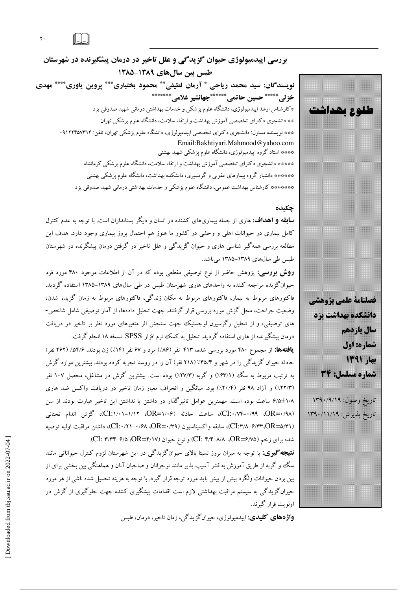$\mathbf{Y}$  .

بررسی اپیدمیولوژی حیوان گزیدگی و علل تاخیر در درمان پیشگیرنده در شهرستان طبس بین سال های ۱۳۸۹-۱۳۸۵ نويسندگان: سيد محمد رياحي \* آرمان لطيفي\*\* محمود بختياري\*\*\* پروين ياوري\*\*\*\* مهدي خزلى\*\*\*\*\* حسين حاتمى\*\*\*\*\*\*\* جهانشير غلامى\*\*\*\*\*\*\* \*کارشناس ارشد اپیدمیولوژی، دانشگاه علوم پزشکی و خدمات بهداشتی درمانی شهید صدوقی یزد \*\* دانشجوی دکترای تخصصی آموزش بهداشت و ارتقاء سلامت، دانشگاه علوم پزشکی تهران \*\*\* نویسنده مسئول: دانشجوی دکترای تخصصی اپیدمیولوژی، دانشگاه علوم پزشکی تهران، تلفن: ۰۹۱۲۲۴۵۷۳۱۴ Email:Bakhtiyari.Mahmood@yahoo.com \*\*\*\* استاد گروه اپیدمیولوژی، دانشگاه علوم پزشکی شهید بهشتی \*\*\*\*\* دانشجوی دکترای تخصصی آموزش بهداشت و ارتقاء سلامت، دانشگاه علوم پزشکی کرمانشاه \*\*\*\*\*\* دانشیار گروه بیمارهای عفونی و گرمسیری، دانشکده بهداشت، دانشگاه علوم پزشکی بهشتی \*\*\*\*\*\*\* کارشناس بهداشت عمومی، دانشگاه علوم پزشکی و خدمات بهداشتی درمانی شهید صدوقی یزد

## چکیده

**سابقه و اهداف:** هاری از جمله بیماریهای کشنده در انسان و دیگر پسنانداران است. با توجه به عدم کنترل کامل بیماری در حیوانات اهلی و وحشی در کشور ما هنوز هم احتمال بروز بیماری وجود دارد. هدف این مطالعه بررسی همه گیر شناسی هاری و حیوان گزیدگی و علل تاخیر در گرفتن درمان پیشگرنده در شهرستان طبس طی سالهای ۱۳۸۹–۱۳۸۵ می باشد.

**روش بورسی:** پژوهش حاضر از نوع توصیفی مقطعی بوده که در آن از اطلاعات موجود ۴۸۰ مورد فرد حیوانگزیده مراجعه کننده به واحدهای هاری شهرستان طبس در طی سالهای ۱۳۸۹–۱۳۸۵ استفاده گردید. فاکتورهای مربوط به بیمار، فاکتورهای مربوط به مکان زندگی، فاکتورهای مربوط به زمان گزیده شدن، وضعیت جراحت، محل گزش مورد بررسی قرار گرفتند. جهت تحلیل دادهها، از آمار توصیفی شامل شاخص-های توصیفی، و از تحلیل رگرسیون لوجستیک جهت سنجش اثر متغیرهای مورد نظر بر تاخیر در دریافت درمان پیشگیرنده از هاری استفاده گردید. تحلیل به کمک نرم افزار SPSS نسخه ۱۸ انجام گرفت.

**یافتهها:** از مجموع ۴۸۰ مورد بررسی شده، ۴۱۳ نفر (۸۶٪) مرد و ۶۷ نفر (۱۴٪) زن بودند. ۵۴/۶٪ (۲۶۲ نفر) حادثه حیوان گزیدگی را در شهر و ۴۵/۴٪ (۲۱۸ نفر) آن را در روستا تجربه کرده بودند. بیشترین موارد گزش به ترتیب مربوط به سگ (۶۳/۱٪) و گربه (۲۷/۳٪) بوده است. بیشترین گزش در مشاغل، محصل ۱۰۷ نفر (٢٢/٣٪) و آزاد ٩٨ نفر (٢٠/٤٪) بود. ميانگين و انحراف معيار زمان تاخير در دريافت واكسن ضد هاري ۰/۸±۶/۱ ساعت بوده است. مهمترین عوامل تاثیرگذار در داشتن یا نداشتن این تاخیر عبارت بودند از سن (OR=۰/۹۸، ۰/۹۹–۲۰/۱۴)، ساعت حادثه (۰۶–OR=۱/۰۶، ۲۱/۱۲–۲۰۱۱)، گزش اندام تحتانی (CI:۳/۸–۶/۳۳،OR=۵/۳۱)، سابقه واكسيناسيون (OR=۰/۴۹، ۲۰/۱۰-۱/۸)، داشتن مراقبت اوليه توصيه شده برای زخم (DR=۶/۷۵، A/۸–۲/۴) (CI: ۴/۴–۸/۸، AR=۶/۷۵). (CI: ۳/۳۴–۶/۵).

**نتیجه گیری:** با توجه به میزان بروز نسبتا بالای حیوانگزیدگی در این شهرستان لزوم کنترل حیواناتی مانند سگ و گربه از طریق آموزش به قشر آسیب پذیر مانند نوجوانان و صاحبان آنان و هماهنگی بین بخشی برای از بین بردن حیوانات ولگرد بیش از پیش باید مورد توجه قرار گیرد. با توجه به هزینه تحمیل شده ناشی از هر مورد حیوانگزیدگی به سیستم مراقبت بهداشتی لازم است اقدامات پیشگیری کننده جهت جلوگیری از گزش در اولويت قرار گيرند.

**واژههای کلیدی**: اییدمیولوژی، حیوانگزیدگی، زمان تاخیر، درمان، طبس

فصلنامة علمي يزوهشي دانشگده بهداشت یزد سال ياردهم شماره: اول بهار ۱۳۹۱ شماره مسلسل: 34 ناريخ وصول ١٣٩٠/٩/١٩ ناريخ بذيرش: ١٣٩٠/١١/١٩٩ 

طلوع بھداشت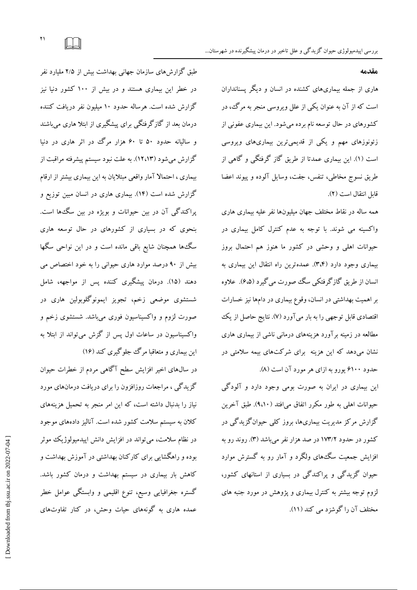طبق گزارشهای سازمان جهانی بهداشت بیش از ۲/۵ ملیارد نفر در خطر این بیماری هستند و در بیش از ۱۰۰ کشور دنیا نیز گزارش شده است. هرساله حدود ۱۰ میلیون نفر دریافت کننده درمان بعد از گازگرفتگی برای پیشگیری از ابتلا هاری میباشند و سالیانه حدود ۵۰ تا ۶۰ هزار مرگ در اثر هاری در دنیا گزارش میشود (۱۲،۱۳). به علت نبود سیستم پیشرفته مراقبت از بیماری ، احتمالا آمار واقعی مبتلایان به این بیماری بیشتر از ارقام گزارش شده است (۱۴). بیماری هاری در انسان مبین توزیع و پراکندگی آن در بین حیوانات و بویژه در بین سگءها است. بنحوی که در بسیاری از کشورهای در حال توسعه هاری سگءها همچنان شایع باقی مانده است و در این نواحی سگها بیش از ۹۰ درصد موارد هاری حیوانی را به خود اختصاص می دهند (۱۵). درمان پیشگیری کننده پس از مواجهه، شامل

شستشوی موضعی زخم، تجویز ایمونوگلوبولین هاری در صورت لزوم و واکسیناسیون فوری میباشد. شستشوی زخم و واکسیناسیون در ساعات اول پس از گزش می تواند از ابتلا به این بیماری و متعاقبا مرگ جلوگیری کند (۱۶)

در سال@ای اخیر افزایش سطح آگاهی مردم از خطرات حیوان گزیدگی ، مراجعات روزافزون را برای دریافت درمانهای مورد نیاز را بدنبال داشته است، که این امر منجر به تحمیل هزینههای کلان به سیستم سلامت کشور شده است. آنالیز دادههای موجود در نظام سلامت، می تواند در افزایش دانش اپیدمیولوژیک موثر بوده و راهگشایی برای کارکنان بهداشتی در آموزش بهداشت و کاهش بار بیماری در سیستم بهداشت و درمان کشور باشد. گستره جغرافیایی وسیع، تنوع اقلیمی و وابستگی عوامل خطر عمده هاری به گونههای حیات وحش، در کنار تفاوتهای

### مقدمه

هاری از جمله بیماریهای کشنده در انسان و دیگر پسنانداران است که از آن به عنوان یکی از علل ویروسی منجر به مرگ ، در کشورهای در حال توسعه نام برده میشود. این بیماری عفونی از زئونوزهای مهم و یکی از قدیمی ترین بیماریهای ویروسی است (۱). این بیماری عمدتا از طریق گاز گرفتگی و گاهی از طريق نسوج مخاطى، تنفس، جفت، وسايل آلوده و پيوند اعضا قابل انتقال است (٢).

همه ساله در نقاط مختلف جهان میلیونها نفر علیه بیماری هاری واکسینه می شوند. با توجه به عدم کنترل کامل بیماری در حیوانات اهلی و وحشی در کشور ما هنوز هم احتمال بروز بیماری وجود دارد (۳،۴). عمدهترین راه انتقال این بیماری به انسان از طریق گازگرفتکی سگ صورت می گیرد (۶،۵). علاوه بر اهمیت بهداشتی در انسان، وقوع بیماری در دامها نیز خسارات اقتصادی قابل توجهی را به بار میآورد (۷). نتایج حاصل از یک مطالعه در زمینه بر آورد هزینههای درمانی ناشی از بیماری هاری نشان میدهد که این هزینه برای شرکتهای بیمه سلامتی در حدود ۶۱۰۰ پورو به ازای هر مورد آن است (۸).

این بیماری در ایران به صورت بومی وجود دارد و آلودگی حیوانات اهلی به طور مکرر اتفاق می|فتد (۹،۱۰). طبق آخرین گزارش مرکز مدیریت بیماریها، بروز کلمی حیوانگزیدگی در کشور در حدود ۱۷۳/۲ در صد هزار نفر می باشد (۳). روند رو به افزایش جمعیت سگءهای ولگرد و آمار رو به گسترش موارد حیوان گزیدگی و پراکندگی در بسیاری از استانهای کشور، لزوم توجه بیشتر به کنترل بیماری و یژوهش در مورد جنبه های مختلف آن را گوشزد می کند (١١).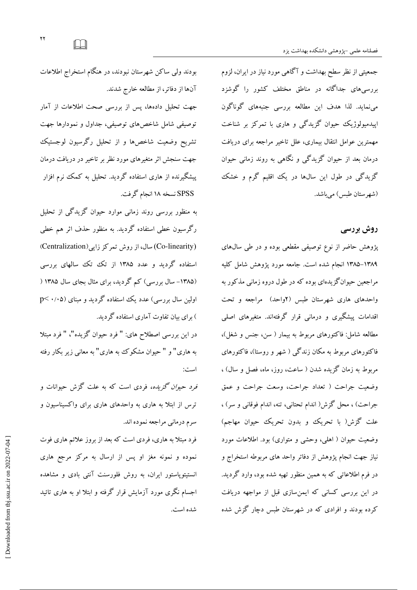جمعیتی از نظر سطح بهداشت و آگاهی مورد نیاز در ایران، لزوم بررسیهای جداگانه در مناطق مختلف کشور را گوشزد مینماید. لذا هدف این مطالعه بررسی جنبههای گوناگون اپیدمیولوژیک حیوان گزیدگی و هاری با تمرکز بر شناخت مهمترین عوامل انتقال بیماری، علل تاخیر مراجعه برای دریافت درمان بعد از حیوان گزیدگی و نگاهی به روند زمانی حیوان گزیدگی در طول این سالها در یک اقلیم گرم و خشک (شهر ستان طسی) می باشد.

# روش بررسی

پژوهش حاضر از نوع توصیفی مقطعی بوده و در طی سال های ۱۳۸۹–۱۳۸۵ انجام شده است. جامعه مورد یژوهش شامل کلیه مراجعین حیوانگزیدهای بوده که در طول دروه زمانی مذکور به واحدهای هاری شهرستان طبس (۲واحد) مراجعه و تحت اقدامات پیشگیری و درمانی قرار گرفتهاند. متغیرهای اصلی مطالعه شامل: فاكتورهاي مربوط به بيمار ( سن، جنس و شغل)، فاکتورهای مربوط به مکان زندگی ( شهر و روستا)، فاکتورهای مربوط به زمان گزیده شدن ( ساعت، روز، ماه، فصل و سال) ، وضعيت جراحت ( تعداد جراحت، وسعت جراحت و عمق جراحت) ، محل گزش( اندام تحتانی، تنه، اندام فوقانی و سر) ، علت گزش( با تحریک و بدون تحریک حیوان مهاجم) وضعیت حیوان ( اهلی، وحشی و متواری) بود. اطلاعات مورد نیاز جهت انجام پژوهش از دفاتر واحد های مربوطه استخراج و در فرم اطلاعاتی که به همین منظور تهیه شده بود، وارد گردید. در این بررسی کسانی که ایمنسازی قبل از مواجهه دریافت کرده بودند و افرادی که در شهرستان طبس دچار گزش شده

بودند ولی ساکن شهرستان نبودند، در هنگام استخراج اطلاعات آنها از دفاتر، از مطالعه خارج شدند. جهت تحلیل دادهها، پس از بررسی صحت اطلاعات از آمار توصیفی شامل شاخصهای توصیفی، جداول و نمودارها جهت

تشریح وضعیت شاخصها و از تحلیل رگرسیون لوجستیک جهت سنجش اثر متغیرهای مورد نظر بر تاخیر در دریافت درمان پیشگیرنده از هاری استفاده گردید. تحلیل به کمک نرم افزار SPSS نسخه ۱۸ انجام گرفت.

به منظور بررسی روند زمانی موارد حیوان گزیدگی از تحلیل رگرسیون خطی استفاده گردید. به منظور حذف اثر هم خطی (Co-linearity) سال، از روش تمرکز زایی (Centralization) استفاده گردید و عدد ۱۳۸۵ از تک تک سالهای بررسی (۱۳۸۵- سال بررسی) کم گردید، برای مثال بجای سال ۱۳۸۵ ( اولین سال بررسی) عدد یک استفاده گردید و مبنای (۰/۰۵ >p ) برای بیان تفاوت آماری استفاده گردید.

در این بررسی اصطلاح های: " فرد حیوان گزیده"، " فرد مبتلا به هاری" و " حیوان مشکوک به هاری" به معانی زیر بکار رفته است:

*فرد حبوان گزیده،* فردی است که به علت گزش حبوانات و ترس از ابتلا به هاری به واحدهای هاری برای واکسیناسیون و سرم درماني مراجعه نموده اند.

فرد مبتلا به هاری، فردی است که بعد از بروز علائم هاری فوت نموده و نمونه مغز او پس از ارسال به مرکز مرجع هاری انستیتوپاستور ایران، به روش فلورسنت آنتی بادی و مشاهده اجسام نگری مورد آزمایش قرار گرفته و ابتلا او به هاری تائید شده است.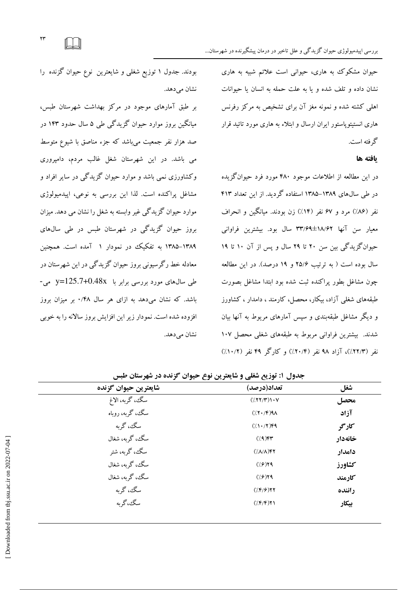$YY$ 

حیوان مشکوک به هاری، حیوانی است علائم شبیه به هاری نشان داده و تلف شده و با به علت حمله به انسان با حبوانات اهلی کشته شده و نمونه مغز آن برای تشخیص به مرکز رفرنس هاری انستیتوپاستور ایران ارسال و ابتلاء به هاری مورد تائید قرار گر فته است.

### ىافته ها

در این مطالعه از اطلاعات موجود ۴۸۰ مورد فرد حیوان گزیده در طی سالهای ۱۳۸۹–۱۳۸۵ استفاده گردید. از این تعداد ۴۱۳ نفر (۸۶٪) مرد و ۶۷ نفر (۱۴٪) زن بودند. میانگین و انحراف معیار سن آنها ۱۸/۶۲±۳۳/۶۹ سال بود. بیشترین فراوانی حیوانگزیدگی بین سن ۲۰ تا ۲۹ سال و پس از آن ۱۰ تا ۱۹ سال بوده است ( به ترتیب ۲۵/۶ و ۱۹ درصد). در این مطالعه چون مشاغل بطور پراکنده ثبت شده بود ابتدا مشاغل بصورت طبقههای شغلی آزاد، بیکار، محصل، کارمند ، دامدار ، کشاورز و دیگر مشاغل طبقهبندی و سپس آمارهای مربوط به آنها بیان شدند. بیشترین فراوانی مربوط به طبقههای شغلی محصل ۱۰۷ نفر (٢٢/٣٪)، آزاد ۹۸ نفر (٢٠/۴٪) و کارگر ۴۹ نفر (١٠/٢٪)

بودند. جدول ۱ توزیع شغلی و شایعترین نوع حیوان گزنده را نشان مے دھد.

بر طبق آمارهای موجود در مرکز بهداشت شهرستان طبس، میانگین بروز موارد حیوان گزیدگی طی ۵ سال حدود ۱۴۳ در صد هزار نفر جمعیت می باشد که جزء مناصق با شیوع متوسط می باشد. در این شهرستان شغل غالب مردم، دامپروری وکشاورزی نمی باشد و موارد حیوان گزیدگی در سایر افراد و مشاغل پراکنده است. لذا این بررسی به نوعی، ایپدمپولوژی موارد حيوان گزيدگي غير وابسته به شغل را نشان مي دهد. ميزان بروز حیوان گزیدگی در شهرستان طبس در طی سالهای ۱۳۸۹–۱۳۸۵ به تفکیک در نمودار ۱ آمده است. همچنین معادله خط رگرسیونی بروز حیوان گزیدگی در این شهرستان در طی سال های مورد بررسی برابر با y=125.7+0.48x باشد. که نشان میدهد به ازای هر سال ۰/۴۸ بر میزان بروز افزوده شده است. نمودار زیر این افزایش بروز سالانه را به خوبی نشان می دهد.

| شايعترين حيوان گزنده | تعداد(درصد)                    | شغل     |  |
|----------------------|--------------------------------|---------|--|
| سگ، گربه، الاغ       | $(\langle XY/Y\rangle)\cdot V$ | محصل    |  |
| سگ، گربه، روباه      | (7.1)                          | آزاد    |  |
| سگ، گربه             | $(11.77)$ ۴۹                   | کارگر   |  |
| سگ، گربه، شغال       | $(79)$ ۴۳                      | خانهدار |  |
| سگ، گربه، شتر        | $(\Lambda/\Lambda)$ ۴۲         | دامدار  |  |
| سگ، گربه، شغال       | (7.9)                          | كشاورز  |  |
| سگ، گربه، شغال       | $\frac{1}{2}$                  | كارمند  |  |
| سگ، گربه             | (1.87)                         | راننده  |  |
| سگ،گربه              | $(\frac{\mu}{\epsilon})$       | بيكار   |  |

حده1 . ١: توزيع شغلي و شايعترين نوع حيوان گزنده در شهرستان طسر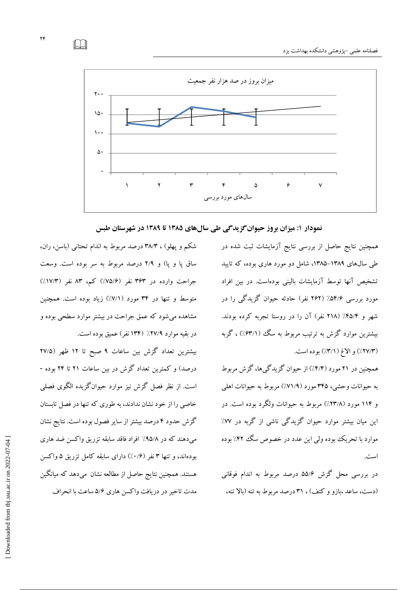

نمودار ۱: میزان بروز حیوان گزیدگی طی سالهای ۱۳۸۵ تا ۱۳۸۹ در شهرستان طبس

همچنین نتایج حاصل از بررسی نتایج آزمایشات ثبت شده در طی سال های ۱۳۸۹–۱۳۸۵، شامل دو مورد هاری بوده، که تایید تشخیص آنها توسط آزمایشات بالینی بودهاست. در بین افراد مورد بررسی ۵۴/۶٪ (۲۶۲ نفر) حادثه حیوان گزیدگی را در شهر و ۴۵/۴٪ (۲۱۸ نفر) آن را در روستا تجربه کرده بودند. بیشترین موارد گزش به ترتیب مربوط به سگ (۶۳/۱٪) ، گربه (٢٧/٣٪) و الاغ (٣/١٪) بوده است.

همچنین در ۲۱ مورد (۴/۴٪) از حیوان گزیدگیها، گزش مربوط به حیوانات وحشی، ۳۴۵ مورد (۷۱/۹٪) مربوط به حیوانات اهلی و ۱۱۴ مورد (۲۳/۸٪) مربوط به حیوانات ولگرد بوده است. در این میان بیشتر موارد حیوان گزیدگی ناشی از گربه در ۷۷٪ موارد با تحریک بوده ولی این عدد در خصوص سگ ۴۲٪ بوده است.

در بررسی محل گزش ۵۵/۶ درصد مربوط به اندام فوقانی (دست، ساعد ،بازو و کتف) ، ۳۱ درصد مربوط به تنه (بالا تنه،

شکم و پهلو) ، ۳۸/۳ درصد مربوط به اندام تحتانبی (باسن، ران، ساق پا و پا) و ۲/۹ درصد مربوط به سر بوده است. وسعت جراحت وارده در ۳۶۳ نفر (۷۵/۶٪) کم، ۸۳ نفر (۱۷/۳٪) متوسط و تنها در ۳۴ مورد (۷/۱٪) زیاد بوده است. همچنین مشاهده می شود که عمق جراحت در بیشتر موارد سطحی بوده و در يقيه موارد ٢٧/٩٪ (١٣۴ نفر) عميق بوده است.

بیشترین تعداد گزش بین ساعات ۹ صبح تا ۱۲ ظهر (۲۷/۵ درصد) و کمترین تعداد گزش در بین ساعات ۲۱ تا ۲۴ بوده -است. از نظر فصل گزش نیز موارد حیوانگزیده الگوی فصلی خاصی را از خود نشان ندادند، به طوری که تنها در فصل تابستان گزش حدود ۴ درصد بیشتر از سایر فصول بوده است. نتایج نشان میدهند که در ۹۵/۸٪ افراد فاقد سابقه تزریق واکسن ضد هاری بودهاند، و تنها ۳ نفر (۰/۶٪) دارای سابقه کامل تزریق ۵ واکسن هستند. همچنین نتایج حاصل از مطالعه نشان ًمیٖدهد که میانگین مدت تاخیر در دریافت واکسن هاری ۵/۶ ساعت با انحراف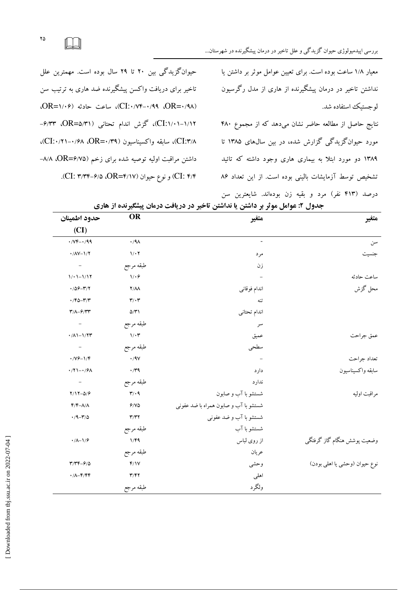

حیوان گزیدگی بین ۲۰ تا ۲۹ سال بوده است. مهمترین علل تاخیر برای دریافت واکسن پیشگیرنده ضد هاری به ترتیب سن (DR= ۱/۰۶)، CI: ۰/۷۴-۰/۹۹(CI: ساعت حادثه (۰۶–OR)، CI:۱/۰۱-۱/۱۲)، گزش اندام تحتانی (DR=۵/۳۱)، ۶/۳۳-CI:۳/۸)، سابقه واكسيناسيون (۳۹/۰=CI:۰/۲۱)، داشتن مراقبت اولیه توصیه شده برای زخم (DR=۶/۷۵، ۸/۸– CI: ۳/۴) و نوع حیوان (CI: ۳/۳۴–۶/۵). معیار ۱/۸ ساعت بوده است. برای تعیین عوامل موثر بر داشتن یا نداشتن تاخیر در درمان پیشگیرنده از هاری از مدل رگرسبون لو جستیک استفاده شد.

نتايج حاصل از مطالعه حاضر نشان مى دهد كه از مجموع ۴۸۰ مورد حیوانگزیدگی گزارش شده، در بین سال های ۱۳۸۵ تا ۱۳۸۹ دو مورد ابتلا به بیماری هاری وجود داشته که تائید تشخیص توسط آزمایشات بالینی بوده است. از این تعداد ۸۶ درصد (۴۱۳ نفر) مرد و بقیه زن بودهاند. شایعترین سن

| متغير                         | متغير                                 | <b>OR</b>                    | حدود اطمينان                                            |
|-------------------------------|---------------------------------------|------------------------------|---------------------------------------------------------|
|                               |                                       |                              | (CI)                                                    |
| سن                            |                                       | $\cdot$ /۹ $\wedge$          | $\cdot$ / $V$ F- $\cdot$ /99                            |
| جنسيت                         | مرد                                   | $1/\cdot 7$                  | $\cdot$ /AV- $\frac{1}{7}$                              |
|                               | زن                                    | طبقه مرجع                    | $\overline{\phantom{a}}$                                |
| ساعت حادثه                    |                                       | $1/\cdot$ $\hat{r}$          | $1/1 - 1/17$                                            |
| محل گزش                       | اندام فوقانى                          | $Y/\Lambda\Lambda$           | $4/09 - 7/7$                                            |
|                               | تنه                                   | $\mathbf{r}/\cdot\mathbf{r}$ | $\cdot$ /۴۵-۳/۳                                         |
|                               | اندام تحتاني                          | $\Delta/\Upsilon$            | $\tau/\Lambda-\mathcal{F}/\tau\tau$                     |
|                               | سر                                    | طبقه مرجع                    | $\overline{\phantom{a}}$                                |
| عمق جراحت                     | عميق                                  | $1/\cdot \mathcal{r}$        | $\cdot/\Lambda$ 1-1/27                                  |
|                               | سطحى                                  | طبقه مرجع                    | $\overline{\phantom{m}}$                                |
| تعداد جراحت                   |                                       | $\cdot$ /9 $\vee$            | $\cdot$ / $\frac{1}{5}$ / $\frac{1}{5}$                 |
| سابقه واكسيناسيون             | دارد                                  | $\cdot$ /۳۹                  | $\cdot$ /٢١- $\cdot$ /۶۸                                |
|                               | ندارد                                 | طبقه مرجع                    | $\overline{\phantom{a}}$                                |
| مراقبت اوليه                  | شستشو با آب و صابون                   | $\mathbf{r}/\cdot$ 9         | $Y/Y - \Delta / 9$                                      |
|                               | شستشو با آب و صابون همراه با ضد عفوني | 9/10                         | $F/F-\Lambda/\Lambda$                                   |
|                               | شستشو با آب و ضد عفونی                | $\mathbf{r}/\mathbf{r}$      | $\cdot$ /9- $\mathbf{r}$ /0                             |
|                               | شستشو با آب                           | طبقه مرجع                    |                                                         |
| وضعيت پوشش هنگام گاز گرفتگى   | از روی لباس                           | 1/F9                         | $\cdot/\lambda-\frac{1}{9}$                             |
|                               | عريان                                 | طبقه مرجع                    |                                                         |
| نوع حيوان (وحشى يا اهلي بودن) | وحشى                                  | f/Y                          | $\mathbf{r}/\mathbf{r}\mathbf{r} - \mathbf{r}/\Delta$   |
|                               | اهلى                                  | $\mathbf{r}/\mathbf{r}$      | $\cdot/\Lambda - \mathfrak{F}/\mathfrak{F}\mathfrak{F}$ |
|                               | ولگرد                                 | طبقه مرجع                    |                                                         |
|                               |                                       |                              |                                                         |

|  | جدول ۲: عوامل موثر بر داشتن یا نداشتن تاخیر در دریافت درمان پیشگیرنده از هاری |  |  |  |  |  |  |  |  |
|--|-------------------------------------------------------------------------------|--|--|--|--|--|--|--|--|
|--|-------------------------------------------------------------------------------|--|--|--|--|--|--|--|--|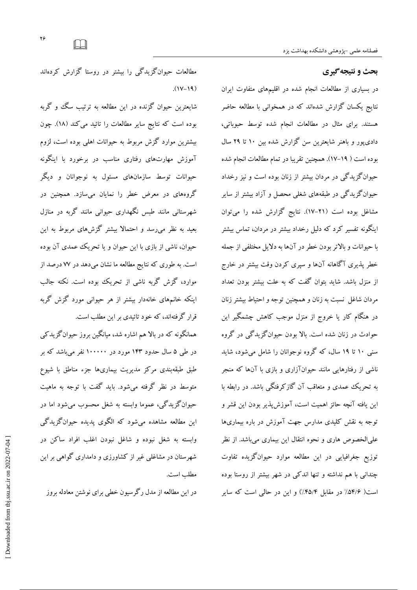# بحث و نتیجه گیری

در بسیاری از مطالعات انجام شده در اقلیمهای متفاوت ایران نتایج یکسان گزارش شدهاند که در همخوانی با مطالعه حاضر هستند. برای مثال در مطالعات انجام شده توسط حبوباتی، دادی یور و باهنر شایعترین سن گزارش شده بین ۱۰ تا ۲۹ سال بوده است ( ۱۹–۱۷). همچنین تقریبا در تمام مطالعات انجام شده حیوانگزیدگی در مردان بیشتر از زنان بوده است و نیز رخداد حیوانگز یدگی در طبقههای شغلی محصل و آزاد بیشتر از سایر مشاغل بوده است (٢١-١٧). نتايج گزارش شده را مي توان اینگونه تفسیر کرد که دلیل رخداد بیشتر در مردان، تماس بیشتر با حيوانات و بالاتر بودن خطر در آنها به دلايل مختلفي از جمله خطر یذیری آگاهانه آنها و سپری کردن وقت بیشتر در خارج از منزل باشد. شاید بتوان گفت که به علت بیشتر بودن تعداد مردان شاغل نسبت به زنان و همچنین توجه و احتیاط بیشتر زنان در هنگام کار یا خروج از منزل موجب کاهش چشمگیر این حوادث در زنان شده است. بالا بودن حیوانگزیدگی در گروه سنی ۱۰ تا ۱۹ سال، که گروه نوجوانان را شامل می شود، شاید ناشی از رفتارهایی مانند حیوانآزاری و بازی با آنها که منجر به تحریک عمدی و متعاقب آن گازکرفتگی باشد. در رابطه با اين يافته آنچه حائز اهميت است، آموزش يذير بودن اين قشر و توجه به نقش کلیدی مدارس جهت آموزش در باره بیماریها علىالخصوص هارى و نحوه انتقال اين بيمارى مىباشد. از نظر توزیع جغرافیایی در این مطالعه موارد حیوانگزیده تفاوت چندانی با هم نداشته و تنها اندکی در شهر بیشتر از روستا بوده است( ۵۴/۶٪ در مقابل ۴۵/۴٪) و این در حالی است که سایر

مطالعات حیوانگزیدگی را بیشتر در روستا گزارش کردهاند  $(1V-19)$ 

شايعترين حيوان گزنده در اين مطالعه به ترتيب سگ و گربه بوده است كه نتايج ساير مطالعات را تائيد مي كند (١٨). چون بیشترین موارد گزش مربوط به حیوانات اهلی بوده است، لزوم آموزش مهارتهای رفتاری مناسب در برخورد با اینگونه حیوانات توسط سازمانهای مسئول به نوجوانان و دیگر گروههای در معرض خطر را نمایان میسازد. همچنین در شهرستانی مانند طبس نگهداری حیوانی مانند گربه در منازل بعید به نظر می رسد و احتمالا بیشتر گزشهای مربوط به این حیوان، ناشی از بازی با این حیوان و یا تحریک عمدی آن بوده است. به طوری که نتایج مطالعه ما نشان میدهد در ۷۷ درصد از موارد، گزش گربه ناشی از تحریک بوده است. نکته جالب اینکه خانمهای خانهدار بیشتر از هر حیوانی مورد گزش گربه قرار گرفتهاند، که خود تائیدی بر این مطلب است.

همانگونه که در بالا هم اشاره شد، میانگین بروز حیوانگزیدکی در طی ۵ سال حدود ۱۴۳ مورد در ۱۰۰۰۰۰ نفر می باشد که بر طبق طبقهبندی مرکز مدیریت بیماریها جزء مناطق با شیوع متوسط در نظر گرفته می شود. پاید گفت با توجه به ماهبت حيوانگزيدگي، عموما وابسته به شغل محسوب مي شود اما در این مطالعه مشاهده میشود که الگوی پدیده حیوانگزیدگی وابسته به شغل نبوده و شاغل نبودن اغلب افراد ساكن در شهرستان در مشاغلبی غیر از کشاورزی و دامداری گواهی بر این مطلب است.

در این مطالعه از مدل رگرسیون خطی برای نوشتن معادله بروز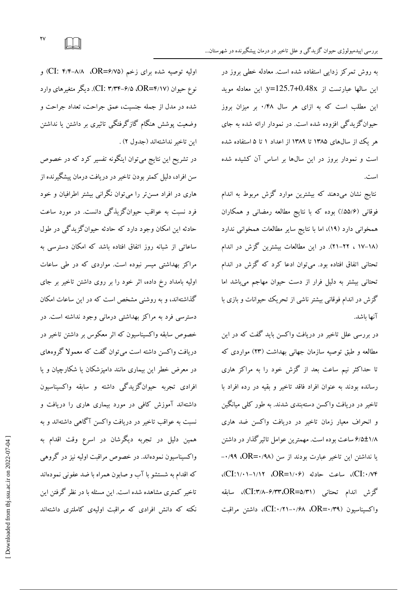به روش تمرکز زدایی استفاده شده است. معادله خطی بروز در این سالها عبارتست از y=125.7+0.48x. این معادله موبد این مطلب است که به ازای هر سال ۰/۴۸ بر میزان بروز حیوانگزیدگی افزوده شده است. در نمودار ارائه شده به جای هر یک از سال های ۱۳۸۵ تا ۱۳۸۹ از اعداد ۱ تا ۵ استفاده شده است و نمودار بروز در این سالها بر اساس آن کشیده شده است.

نتایج نشان میدهند که بیشترین موارد گزش مربوط به اندام فوقانی (۵۵/۶٪) بوده که با نتایج مطالعه رمضانی و همکاران همخوانی دارد (۱۹)، اما با نتایج سایر مطالعات همخوانی ندارد (١٨-١٧ ، ٢٢-٢١). در اين مطالعات بيشترين گزش در اندام تحتانی اتفاق افتاده بود. می توان ادعا کرد که گزش در اندام تحتانی بیشتر به دلیل فرار از دست حیوان مهاجم میباشد اما گزش در اندام فوقانی بیشتر ناشی از تحریک حیوانات و بازی با آنها باشد.

در بررسی علل تاخیر در دریافت واکسن باید گفت که در این مطالعه و طبق توصیه سازمان جهانی بهداشت (۲۳) مواردی که تا حداکثر نیم ساعت بعد از گزش خود را به مراکز هاری رسانده بودند به عنوان افراد فاقد تاخیر و بقیه در رده افراد با تاخیر در دریافت واکسن دستهبندی شدند. به طور کلبی میانگین و انحراف معیار زمان تاخیر در دریافت واکسن ضد هاری ۶/۵±۱/۸ ساعت بوده است. مهمترین عوامل تاثیر گذار در داشتن یا نداشتن این تاخیر عبارت بودند از سن (۰/۹۸=OR، ۰/۹۹ CI:۱/۱۴)، ساعت حادثه (CI:۱/۰۱–۱/۱۲)، گزش اندام تحتانی (CI:۳/۸-۶/۳۳،OR=۵/۳۱)، سابقه واكسيناسيون (\CI:۰/۲۱–۰/۶۸، OR=۰/۳۹، داشتن مراقبت

اولیه توصیه شده برای زخم (DR=۶/۷۵، ۲/۹–۲/۴) و نوع حبوان (OR=۴/۱۷، ۳/۳۴-۶/۵، م). دیگر متغیرهای وارد شده در مدل از جمله جنسیت، عمق جراحت، تعداد جراحت و وضعیت پوشش هنگام گازگرفتگی تاثیری بر داشتن یا نداشتن اين تاخير نداشتهاند (جدول ٢).

در تشریح این نتایج میتوان اینگونه تفسیر کرد که در خصوص سن افراد، دلیل کمتر بودن تاخیر در دریافت درمان پیشگیرنده از هاری در افراد مسن تر را می توان نگرانی بیشتر اطرافیان و خود فرد نسبت به عواقب حیوانگزیذگی دانست. در مورد ساعت حادثه این امکان وجود دارد که حادثه حیوانگزیدگی در طول ساعاتی از شبانه روز اتفاق افتاده باشد که امکان دسترسی به مراکز بهداشتی میسر نبوده است. مواردی که در طی ساعات اولیه بامداد رخ داده، اثر خود را بر روی داشتن تاخیر بر جای گذاشتهاند، و به روشنبی مشخص است که در این ساعات امکان دسترسی فرد به مراکز بهداشتی درمانی وجود نداشته است. در خصوص سابقه واکسیناسیون که اثر معکوس بر داشتن تاخیر در دریافت واکسن داشته است میتوان گفت که معمولا گروههای در معرض خطر این بیماری مانند دامپزشکان یا شکارچیان و یا افرادي تجربه حبوان گزيدگي داشته و سابقه واکسيناسيون داشتهاند آموزش کافی در مورد بیماری هاری را دریافت و نسبت به عواقب تاخیر در دریافت واکسن آگاهی داشتهاند و به همین دلیل در تجربه دیگرشان در اسرع وقت اقدام به واکسیناسیون نمودهاند. در خصوص مراقبت اولیه نیز در گروهی که اقدام به شستشو با آب و صابون همراه با ضد عفونی نمودهاند تاخیر کمتری مشاهده شده است. این مسئله با در نظر گرفتن این نکته که دانش افرادی که مراقبت اولیهی کاملتری داشتهاند

 $\mathsf{rv}$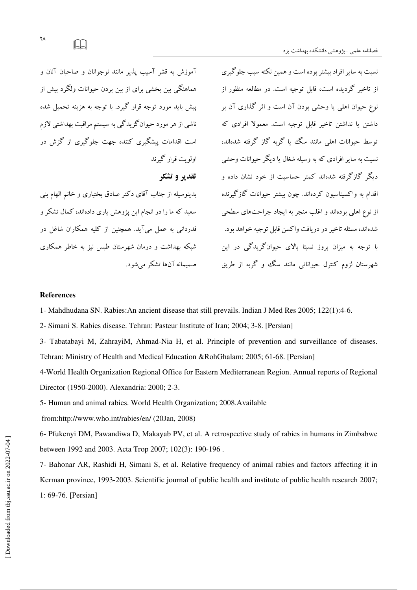آموزش به قشر آسیب پذیر مانند نوجوانان و صاحبان آنان و هماهنگی مین مخشی برای از مین بردن حبوانات ولگرد میش از پیش باید مورد توجه قرار گیرد. با توجه به هزینه تحمیل شده ناشی از هر مورد حیوانگزیدگی به سیستم مراقبت بهداشتی لازم است اقدامات پیشگیری کننده جهت جلوگیری از گزش در اولويت قرار گېرند تقدیر و تشکر

بدینوسیله از جناب آقای دکتر صادق بختیاری و خانم الهام بنی سعید که ما را در انجام این پژوهش باری دادهاند، کمال تشکر و قدردانی به عمل میآید. همچنین از کلیه همکاران شاغل در شبکه بهداشت و درمان شهرستان طبس نیز به خاطر همکاری صمیمانه آنها تشکر می شود.

نسبت به سایر افراد بیشتر بوده است و همین نکته سبب جلوگیری از تاخیر گردیده است، قابل توجیه است. در مطالعه منظور از نوع حیوان اہلی یا وحشی بودن آن است و اثر گذاری آن بر داشتن یا نداشتن تاخیر قابل توجیه است. معمولا افرادی که توسط حیوانات اهلی مانند سگ یا گربه گاز گرفته شدهاند، نسبت به سایر افرادی که به وسیله شغال یا دیگر حبوانات وحشی دیگر گازگرفته شدهاند کمتر حساسیت از خود نشان داده و اقدام به واکسبناسبون کردهاند. چون بیشتر حبوانات گازگیرنده از نوع اهلی بودهاند و اغلب منجر به ایجاد جراحتهای سطحی شدهاند، مسئله تاخیر در دریافت واکسن قابل توجیه خواهد بود. با توجه به میزان بروز نسبتا بالای حیوانگزیدگی در این شهرستان لزوم کنترل حیواناتی مانند سگ و گربه از طریق

#### **References**

1- Mahdhudana SN. Rabies: An ancient disease that still prevails. Indian J Med Res 2005; 122(1):4-6.

2- Simani S. Rabies disease. Tehran: Pasteur Institute of Iran; 2004; 3-8. [Persian]

3- Tabatabayi M, ZahrayiM, Ahmad-Nia H, et al. Principle of prevention and surveillance of diseases. Tehran: Ministry of Health and Medical Education &RohGhalam; 2005; 61-68. [Persian]

4-World Health Organization Regional Office for Eastern Mediterranean Region. Annual reports of Regional Director (1950-2000). Alexandria: 2000: 2-3.

5- Human and animal rabies. World Health Organization; 2008. Available

from:http://www.who.int/rabies/en/ (20Jan, 2008)

6- Pfukenyi DM, Pawandiwa D, Makayab PV, et al. A retrospective study of rabies in humans in Zimbabwe between 1992 and 2003. Acta Trop 2007; 102(3): 190-196.

7- Bahonar AR, Rashidi H, Simani S, et al. Relative frequency of animal rabies and factors affecting it in Kerman province, 1993-2003. Scientific journal of public health and institute of public health research 2007; 1: 69-76. [Persian]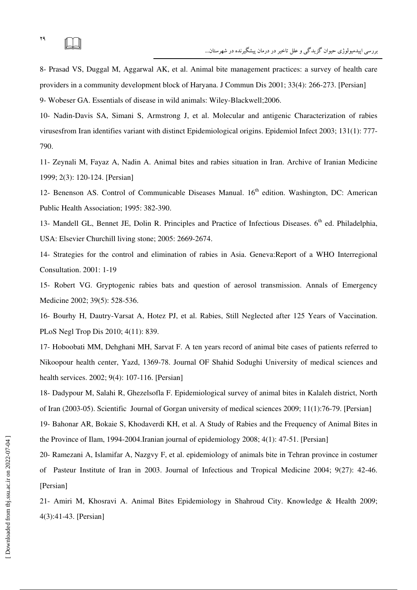8- Prasad VS, Duggal M, Aggarwal AK, et al. Animal bite management practices: a survey of health care providers in a community development block of Haryana. J Commun Dis 2001; 33(4): 266-273. [Persian] 9- Wobeser GA. Essentials of disease in wild animals: Wiley-Blackwell;2006.

10- Nadin-Davis SA, Simani S, Armstrong J, et al. Molecular and antigenic Characterization of rabies virusesfrom Iran identifies variant with distinct Epidemiological origins. Epidemiol Infect 2003; 131(1): 777- 790

11- Zeynali M, Fayaz A, Nadin A. Animal bites and rabies situation in Iran. Archive of Iranian Medicine 1999; 2(3): 120-124. [Persian]

12- Benenson AS. Control of Communicable Diseases Manual. 16<sup>th</sup> edition. Washington, DC: American Public Health Association; 1995: 382-390

13- Mandell GL, Bennet JE, Dolin R. Principles and Practice of Infectious Diseases. 6<sup>th</sup> ed. Philadelphia, USA: Elsevier Churchill living stone; 2005: 2669-2674

14- Strategies for the control and elimination of rabies in Asia. Geneva:Report of a WHO Interregional Consultation. 2001: 1-19

15- Robert VG. Gryptogenic rabies bats and question of aerosol transmission. Annals of Emergency Medicine 2002; 39(5): 528-536

16- Bourhy H, Dautry-Varsat A, Hotez PJ, et al. Rabies, Still Neglected after 125 Years of Vaccination. PLoS Negl Trop Dis 2010; 4(11): 839.

17- Hoboobati MM, Dehghani MH, Sarvat F. A ten years record of animal bite cases of patients referred to Nikoopour health center, Yazd, 1369-78. Journal OF Shahid Sodughi University of medical sciences and health services. 2002; 9(4): 107-116. [Persian]

18- Dadypour M, Salahi R, Ghezelsofla F. Epidemiological survey of animal bites in Kalaleh district, North of Iran (2003-05). Scientific Journal of Gorgan university of medical sciences 2009; 11(1):76-79. [Persian]

19- Bahonar AR, Bokaie S, Khodaverdi KH, et al. A Study of Rabies and the Frequency of Animal Bites in the Province of Ilam, 1994-2004.Iranian journal of epidemiology 2008; 4(1): 47-51. [Persian]

20- Ramezani A, Islamifar A, Nazgvy F, et al. epidemiology of animals bite in Tehran province in costumer of Pasteur Institute of Iran in 2003. Journal of Infectious and Tropical Medicine 2004; 9(27): 42-46. [Persian]

21- Amiri M, Khosravi A. Animal Bites Epidemiology in Shahroud City. Knowledge & Health 2009; 4(3):41-43. [Persian]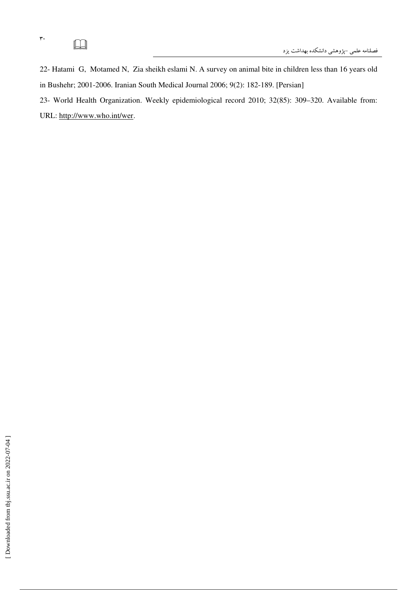# $\Box$

 $\mathbf{r}$ 

22- Hatami G, Motamed N, Zia sheikh eslami N. A survey on animal bite in children less than 16 years old in Bushehr; 2001-2006. Iranian South Medical Journal 2006; 9(2): 182-189. [Persian]

23- World Health Organization. Weekly epidemiological record 2010; 32(85): 309-320. Available from: URL: http://www.who.int/wer.